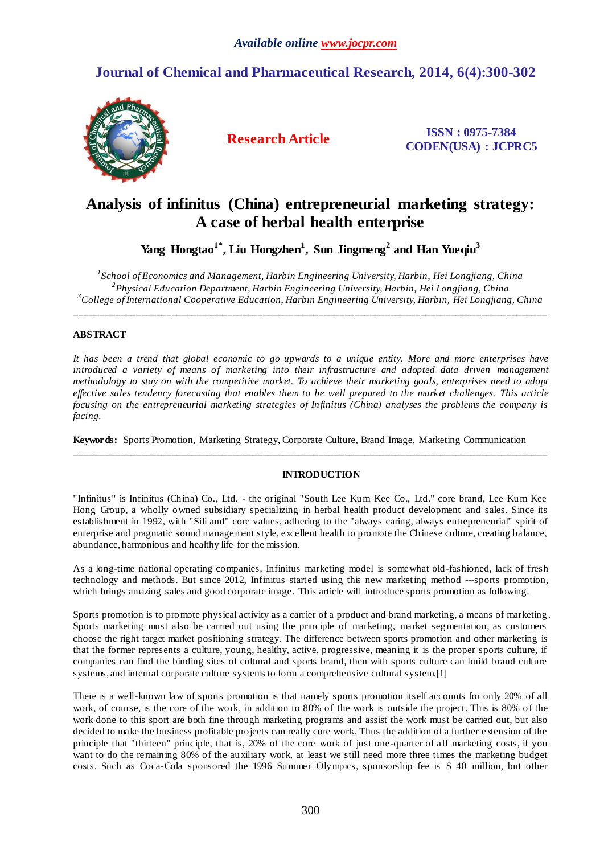## **Journal of Chemical and Pharmaceutical Research, 2014, 6(4):300-302**



**Research Article ISSN : 0975-7384 CODEN(USA) : JCPRC5**

# **Analysis of infinitus (China) entrepreneurial marketing strategy: A case of herbal health enterprise**

**Yang Hongtao1\*, Liu Hongzhen<sup>1</sup> , Sun Jingmeng<sup>2</sup>and Han Yueqiu<sup>3</sup>**

*1 School of Economics and Management, Harbin Engineering University, Harbin, Hei Longjiang, China 2 Physical Education Department, Harbin Engineering University, Harbin, Hei Longjiang, China <sup>3</sup>College of International Cooperative Education, Harbin Engineering University, Harbin, Hei Longjiang, China*

\_\_\_\_\_\_\_\_\_\_\_\_\_\_\_\_\_\_\_\_\_\_\_\_\_\_\_\_\_\_\_\_\_\_\_\_\_\_\_\_\_\_\_\_\_\_\_\_\_\_\_\_\_\_\_\_\_\_\_\_\_\_\_\_\_\_\_\_\_\_\_\_\_\_\_\_\_\_\_\_\_\_\_\_\_\_\_\_\_\_\_\_\_

## **ABSTRACT**

*It has been a trend that global economic to go upwards to a unique entity. More and more enterprises have introduced a variety of means of marketing into their infrastructure and adopted data driven management methodology to stay on with the competitive market. To achieve their marketing goals, enterprises need to adopt effective sales tendency forecasting that enables them to be well prepared to the market challenges. This article focusing on the entrepreneurial marketing strategies of Infinitus (China) analyses the problems the company is facing.*

**Keywords:** Sports Promotion, Marketing Strategy, Corporate Culture, Brand Image, Marketing Communication

\_\_\_\_\_\_\_\_\_\_\_\_\_\_\_\_\_\_\_\_\_\_\_\_\_\_\_\_\_\_\_\_\_\_\_\_\_\_\_\_\_\_\_\_\_\_\_\_\_\_\_\_\_\_\_\_\_\_\_\_\_\_\_\_\_\_\_\_\_\_\_\_\_\_\_\_\_\_\_\_\_\_\_\_\_\_\_\_\_\_\_\_\_

## **INTRODUCTION**

"Infinitus" is Infinitus (China) Co., Ltd. - the original "South Lee Kum Kee Co., Ltd." core brand, Lee Kum Kee Hong Group, a wholly owned subsidiary specializing in herbal health product development and sales. Since its establishment in 1992, with "Sili and" core values, adhering to the "always caring, always entrepreneurial" spirit of enterprise and pragmatic sound management style, excellent health to promote the Chinese culture, creating balance, abundance, harmonious and healthy life for the mission.

As a long-time national operating companies, Infinitus marketing model is somewhat old -fashioned, lack of fresh technology and methods. But since 2012, Infinitus started using this new marketing method ---sports promotion, which brings amazing sales and good corporate image. This article will introduce sports promotion as following.

Sports promotion is to promote physical activity as a carrier of a product and brand marketing, a means of marketing . Sports marketing must also be carried out using the principle of marketing, market segmentation, as customers choose the right target market positioning strategy. The difference between sports promotion and other marketing is that the former represents a culture, young, healthy, active, progressive, meaning it is the proper sports culture, if companies can find the binding sites of cultural and sports brand, then with sports culture can build brand culture systems, and internal corporate culture systems to form a comprehensive cultural system.[1]

There is a well-known law of sports promotion is that namely sports promotion itself accounts for only 20% of all work, of course, is the core of the work, in addition to 80% of the work is outside the project. This is 80% of the work done to this sport are both fine through marketing programs and assist the work must be carried out, but also decided to make the business profitable projects can really core work. Thus the addition of a further extension of the principle that "thirteen" principle, that is, 20% of the core work of just one-quarter of all marketing costs, if you want to do the remaining 80% of the auxiliary work, at least we still need more three times the marketing budget costs. Such as Coca-Cola sponsored the 1996 Summer Olympics, sponsorship fee is \$ 40 million, but other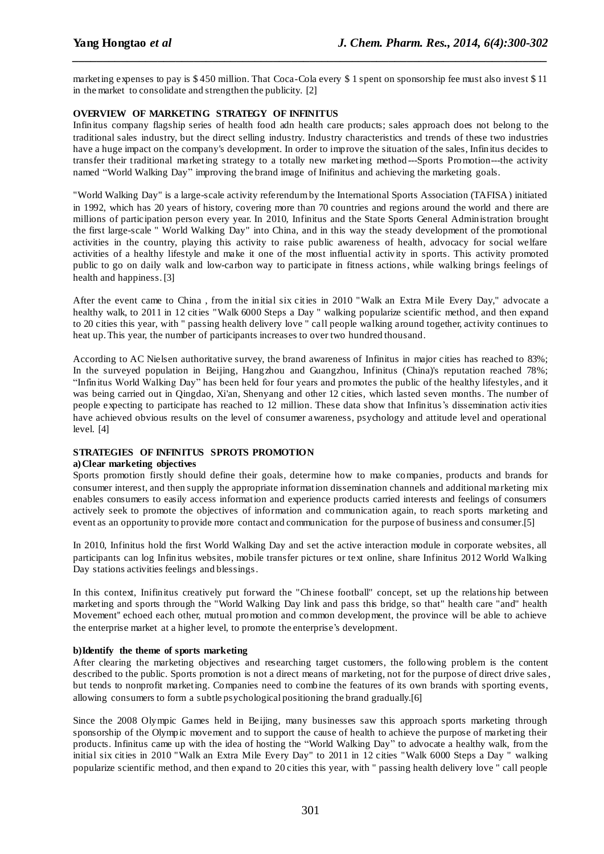marketing expenses to pay is \$ 450 million. That Coca-Cola every \$ 1 spent on sponsorship fee must also invest \$ 11 in the market to consolidate and strengthen the publicity. [2]

*\_\_\_\_\_\_\_\_\_\_\_\_\_\_\_\_\_\_\_\_\_\_\_\_\_\_\_\_\_\_\_\_\_\_\_\_\_\_\_\_\_\_\_\_\_\_\_\_\_\_\_\_\_\_\_\_\_\_\_\_\_\_\_\_\_\_\_\_\_\_\_\_\_\_\_\_\_\_*

### **OVERVIEW OF MARKETING STRATEGY OF INFINITUS**

Infinitus company flagship series of health food adn health care products; sales approach does not belong to the traditional sales industry, but the direct selling industry. Industry characteristics and trends of these two industries have a huge impact on the company's development. In order to improve the situation of the sales, Infinitus decides to transfer their traditional marketing strategy to a totally new marketing method ---Sports Promotion---the activity named "World Walking Day" improving the brand image of Inifinitus and achieving the marketing goals.

"World Walking Day" is a large-scale activity referendum by the International Sports Association (TAFISA) initiated in 1992, which has 20 years of history, covering more than 70 countries and regions around the world and there are millions of participation person every year. In 2010, Infinitus and the State Sports General Administration brought the first large-scale " World Walking Day" into China, and in this way the steady development of the promotional activities in the country, playing this activity to raise public awareness of health, advocacy for social welfare activities of a healthy lifestyle and make it one of the most influential activity in sports. This activity promoted public to go on daily walk and low-carbon way to participate in fitness actions, while walking brings feelings of health and happiness.[3]

After the event came to China , from the initial six cities in 2010 "Walk an Extra Mile Every Day," advocate a healthy walk, to 2011 in 12 cities "Walk 6000 Steps a Day" walking popularize scientific method, and then expand to 20 cities this year, with " passing health delivery love " call people walking around together, activity continues to heat up. This year, the number of participants increases to over two hundred thousand.

According to AC Nielsen authoritative survey, the brand awareness of Infinitus in major cities has reached to 83%; In the surveyed population in Beijing, Hangzhou and Guangzhou, Infinitus (China)'s reputation reached 78%; "Infinitus World Walking Day" has been held for four years and promotes the public of the healthy lifestyles, and it was being carried out in Qingdao, Xi'an, Shenyang and other 12 cities, which lasted seven months. The number of people expecting to participate has reached to 12 million. These data show that Infinitus's dissemination activities have achieved obvious results on the level of consumer awareness, psychology and attitude level and operational level. [4]

#### **STRATEGIES OF INFINITUS SPROTS PROMOTION**

#### **a)Clear marketing objectives**

Sports promotion firstly should define their goals, determine how to make companies, products and brands for consumer interest, and then supply the appropriate information dissemination channels and additional marketing mix enables consumers to easily access information and experience products carried interests and feelings of consumers actively seek to promote the objectives of information and communication again, to reach sports marketing and event as an opportunity to provide more contact and communication for the purpose of business and consumer.[5]

In 2010, Infinitus hold the first World Walking Day and set the active interaction module in corporate websites, all participants can log Infinitus websites, mobile transfer pictures or text online, share Infinitus 2012 World Walking Day stations activities feelings and blessings.

In this context, Inifinitus creatively put forward the "Chinese football" concept, set up the relations hip between marketing and sports through the "World Walking Day link and pass this bridge, so that" health care "and" health Movement'' echoed each other, mutual promotion and common development, the province will be able to achieve the enterprise market at a higher level, to promote the enterprise's development.

#### **b)Identify the theme of sports marketing**

After clearing the marketing objectives and researching target customers, the following problem is the content described to the public. Sports promotion is not a direct means of marketing, not for the purpose of direct drive sales, but tends to nonprofit marketing. Companies need to combine the features of its own brands with sporting events, allowing consumers to form a subtle psychological positioning the brand gradually.[6]

Since the 2008 Olympic Games held in Beijing, many businesses saw this approach sports marketing through sponsorship of the Olympic movement and to support the cause of health to achieve the purpose of marketing their products. Infinitus came up with the idea of hosting the "World Walking Day" to advocate a healthy walk, from the initial six cities in 2010 "Walk an Extra Mile Every Day" to 2011 in 12 cities "Walk 6000 Steps a Day " walking popularize scientific method, and then expand to 20 cities this year, with " passing health delivery love " call people